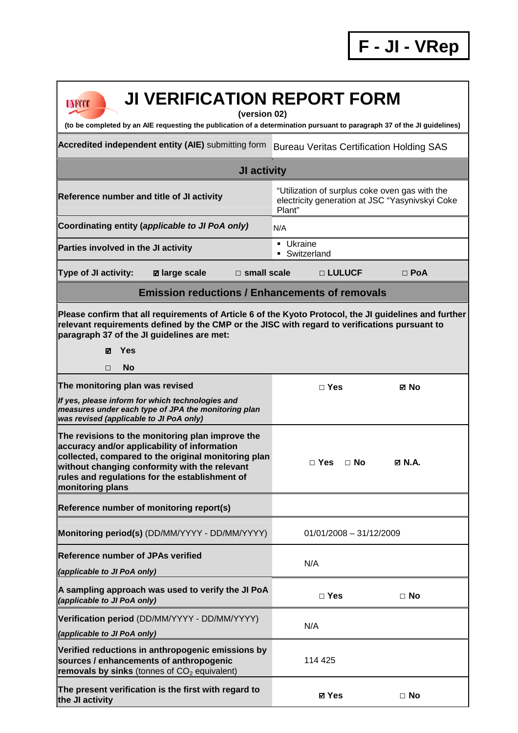**F - JI - VRep**

| <b>JI VERIFICATION REPORT FORM</b><br>UNFCCC<br>(version 02)<br>(to be completed by an AIE requesting the publication of a determination pursuant to paragraph 37 of the JI guidelines)                                                                                             |                                                                                                             |                  |  |  |
|-------------------------------------------------------------------------------------------------------------------------------------------------------------------------------------------------------------------------------------------------------------------------------------|-------------------------------------------------------------------------------------------------------------|------------------|--|--|
| Accredited independent entity (AIE) submitting form                                                                                                                                                                                                                                 | <b>Bureau Veritas Certification Holding SAS</b>                                                             |                  |  |  |
| JI activity                                                                                                                                                                                                                                                                         |                                                                                                             |                  |  |  |
| Reference number and title of JI activity                                                                                                                                                                                                                                           | "Utilization of surplus coke oven gas with the<br>electricity generation at JSC "Yasynivskyi Coke<br>Plant" |                  |  |  |
| Coordinating entity (applicable to JI PoA only)                                                                                                                                                                                                                                     | N/A                                                                                                         |                  |  |  |
| Parties involved in the JI activity                                                                                                                                                                                                                                                 | • Ukraine<br>• Switzerland                                                                                  |                  |  |  |
| Type of JI activity:<br>$\Box$ small scale<br>⊠ large scale                                                                                                                                                                                                                         | □ LULUCF                                                                                                    | $\Box$ PoA       |  |  |
| <b>Emission reductions / Enhancements of removals</b>                                                                                                                                                                                                                               |                                                                                                             |                  |  |  |
| Please confirm that all requirements of Article 6 of the Kyoto Protocol, the JI guidelines and further<br>relevant requirements defined by the CMP or the JISC with regard to verifications pursuant to<br>paragraph 37 of the JI guidelines are met:<br>Yes<br>☑<br><b>No</b><br>□ |                                                                                                             |                  |  |  |
| The monitoring plan was revised                                                                                                                                                                                                                                                     | $\Box$ Yes                                                                                                  | ⊠ No             |  |  |
| If yes, please inform for which technologies and<br>measures under each type of JPA the monitoring plan<br>was revised (applicable to JI PoA only)                                                                                                                                  |                                                                                                             |                  |  |  |
| The revisions to the monitoring plan improve the<br>accuracy and/or applicability of information<br>collected, compared to the original monitoring plan<br>without changing conformity with the relevant<br>rules and regulations for the establishment of<br>monitoring plans      | □ Yes<br>$\Box$ No                                                                                          | $\boxtimes$ N.A. |  |  |
| Reference number of monitoring report(s)                                                                                                                                                                                                                                            |                                                                                                             |                  |  |  |
| Monitoring period(s) (DD/MM/YYYY - DD/MM/YYYY)                                                                                                                                                                                                                                      | $01/01/2008 - 31/12/2009$                                                                                   |                  |  |  |
| <b>Reference number of JPAs verified</b><br>(applicable to JI PoA only)                                                                                                                                                                                                             | N/A                                                                                                         |                  |  |  |
| A sampling approach was used to verify the JI PoA<br>(applicable to JI PoA only)                                                                                                                                                                                                    | $\Box$ Yes                                                                                                  | $\Box$ No        |  |  |
| Verification period (DD/MM/YYYY - DD/MM/YYYY)<br>(applicable to JI PoA only)                                                                                                                                                                                                        | N/A                                                                                                         |                  |  |  |
| Verified reductions in anthropogenic emissions by<br>sources / enhancements of anthropogenic<br>removals by sinks (tonnes of $CO2$ equivalent)                                                                                                                                      | 114 425                                                                                                     |                  |  |  |
| The present verification is the first with regard to<br>the JI activity                                                                                                                                                                                                             | ⊠ Yes                                                                                                       | $\Box$ No        |  |  |